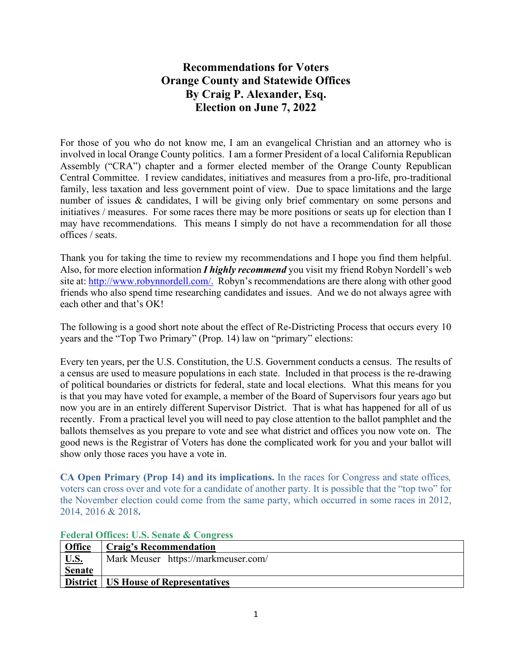# **Recommendations for Voters Orange County and Statewide Offices By Craig P. Alexander, Esq. Election on June 7, 2022**

For those of you who do not know me, I am an evangelical Christian and an attorney who is involved in local Orange County politics. I am a former President of a local California Republican Assembly ("CRA") chapter and a former elected member of the Orange County Republican Central Committee. I review candidates, initiatives and measures from a pro-life, pro-traditional family, less taxation and less government point of view. Due to space limitations and the large number of issues & candidates, I will be giving only brief commentary on some persons and initiatives / measures. For some races there may be more positions or seats up for election than I may have recommendations. This means I simply do not have a recommendation for all those offices / seats.

Thank you for taking the time to review my recommendations and I hope you find them helpful. Also, for more election information *I highly recommend* you visit my friend Robyn Nordell's web site at: [http://www.robynnordell.com/.](http://www.robynnordell.com/) Robyn's recommendations are there along with other good friends who also spend time researching candidates and issues. And we do not always agree with each other and that's OK!

The following is a good short note about the effect of Re-Districting Process that occurs every 10 years and the "Top Two Primary" (Prop. 14) law on "primary" elections:

Every ten years, per the U.S. Constitution, the U.S. Government conducts a census. The results of a census are used to measure populations in each state. Included in that process is the re-drawing of political boundaries or districts for federal, state and local elections. What this means for you is that you may have voted for example, a member of the Board of Supervisors four years ago but now you are in an entirely different Supervisor District. That is what has happened for all of us recently. From a practical level you will need to pay close attention to the ballot pamphlet and the ballots themselves as you prepare to vote and see what district and offices you now vote on. The good news is the Registrar of Voters has done the complicated work for you and your ballot will show only those races you have a vote in.

**CA Open Primary (Prop 14) and its implications.** In the races for Congress and state offices*,* voters can cross over and vote for a candidate of another party. It is possible that the "top two" for the November election could come from the same party, which occurred in some races in 2012, 2014, 2016 & 2018**.**

| Office         | Craig's Recommendation                 |
|----------------|----------------------------------------|
| U.S.<br>Senate | Mark Meuser https://markmeuser.com/    |
|                |                                        |
|                | District   US House of Representatives |

### **Federal Offices: U.S. Senate & Congress**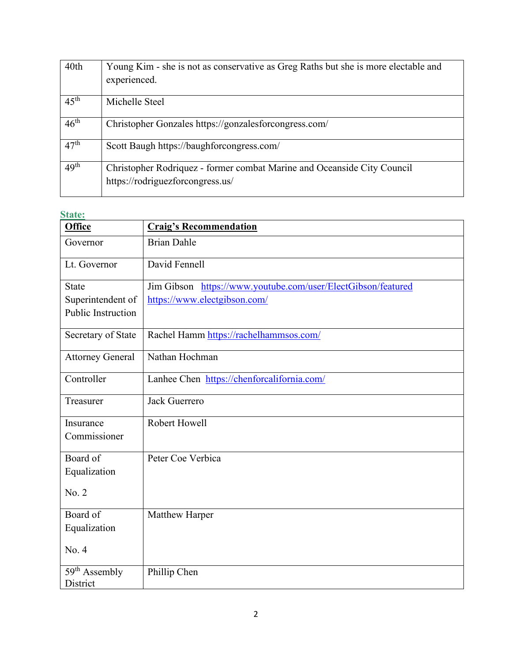| 40th             | Young Kim - she is not as conservative as Greg Raths but she is more electable and<br>experienced.          |
|------------------|-------------------------------------------------------------------------------------------------------------|
| $45^{\text{th}}$ | Michelle Steel                                                                                              |
| $46^{\text{th}}$ | Christopher Gonzales https://gonzalesforcongress.com/                                                       |
| 47 <sup>th</sup> | Scott Baugh https://baughforcongress.com/                                                                   |
| 49 <sup>th</sup> | Christopher Rodriquez - former combat Marine and Oceanside City Council<br>https://rodriguezforcongress.us/ |

#### **State:**

| <b>Office</b>                         | <b>Craig's Recommendation</b>                                |
|---------------------------------------|--------------------------------------------------------------|
| Governor                              | <b>Brian Dahle</b>                                           |
| Lt. Governor                          | David Fennell                                                |
| <b>State</b>                          | Jim Gibson https://www.youtube.com/user/ElectGibson/featured |
| Superintendent of                     | https://www.electgibson.com/                                 |
| Public Instruction                    |                                                              |
| Secretary of State                    | Rachel Hamm https://rachelhammsos.com/                       |
| <b>Attorney General</b>               | Nathan Hochman                                               |
| Controller                            | Lanhee Chen https://chenforcalifornia.com/                   |
| Treasurer                             | Jack Guerrero                                                |
| Insurance                             | Robert Howell                                                |
| Commissioner                          |                                                              |
| Board of                              | Peter Coe Verbica                                            |
| Equalization                          |                                                              |
| No. 2                                 |                                                              |
| Board of                              | Matthew Harper                                               |
| Equalization                          |                                                              |
| No. 4                                 |                                                              |
| 59 <sup>th</sup> Assembly<br>District | Phillip Chen                                                 |
|                                       |                                                              |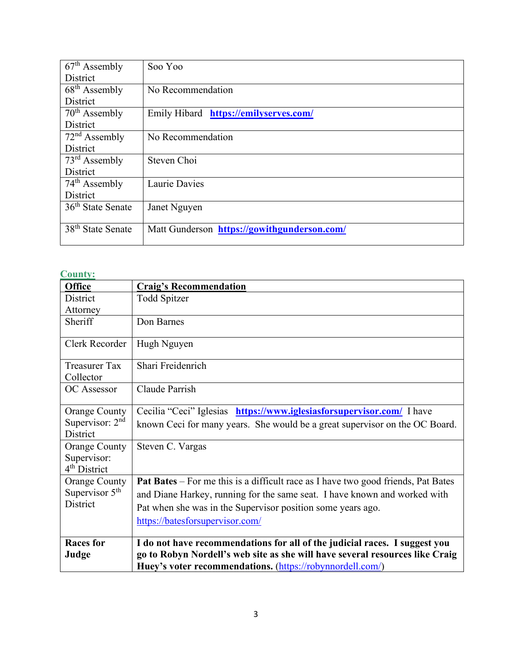| $67th$ Assembly               | Soo Yoo                                     |
|-------------------------------|---------------------------------------------|
| District                      |                                             |
| $68th$ Assembly               | No Recommendation                           |
| District                      |                                             |
| $70th$ Assembly               | Emily Hibard https://emilyserves.com/       |
| District                      |                                             |
| $72nd$ Assembly               | No Recommendation                           |
| <b>District</b>               |                                             |
| $73rd$ Assembly               | Steven Choi                                 |
| District                      |                                             |
| $74th$ Assembly               | Laurie Davies                               |
| District                      |                                             |
| 36 <sup>th</sup> State Senate | Janet Nguyen                                |
|                               |                                             |
| 38 <sup>th</sup> State Senate | Matt Gunderson https://gowithgunderson.com/ |
|                               |                                             |

### **County:**

| <b>Office</b>             | <b>Craig's Recommendation</b>                                                                                                                                                                                           |
|---------------------------|-------------------------------------------------------------------------------------------------------------------------------------------------------------------------------------------------------------------------|
| District                  | Todd Spitzer                                                                                                                                                                                                            |
| Attorney                  |                                                                                                                                                                                                                         |
| Sheriff                   | Don Barnes                                                                                                                                                                                                              |
| Clerk Recorder            | Hugh Nguyen                                                                                                                                                                                                             |
| <b>Treasurer Tax</b>      | Shari Freidenrich                                                                                                                                                                                                       |
| Collector                 |                                                                                                                                                                                                                         |
| <b>OC</b> Assessor        | Claude Parrish                                                                                                                                                                                                          |
| <b>Orange County</b>      | Cecilia "Ceci" Iglesias https://www.iglesiasforsupervisor.com/ I have                                                                                                                                                   |
| Supervisor: $2nd$         | known Ceci for many years. She would be a great supervisor on the OC Board.                                                                                                                                             |
| District                  |                                                                                                                                                                                                                         |
| <b>Orange County</b>      | Steven C. Vargas                                                                                                                                                                                                        |
| Supervisor:               |                                                                                                                                                                                                                         |
| 4 <sup>th</sup> District  |                                                                                                                                                                                                                         |
| <b>Orange County</b>      | Pat Bates - For me this is a difficult race as I have two good friends, Pat Bates                                                                                                                                       |
| Supervisor $5th$          | and Diane Harkey, running for the same seat. I have known and worked with                                                                                                                                               |
| District                  | Pat when she was in the Supervisor position some years ago.                                                                                                                                                             |
|                           | https://batesforsupervisor.com/                                                                                                                                                                                         |
| <b>Races</b> for<br>Judge | I do not have recommendations for all of the judicial races. I suggest you<br>go to Robyn Nordell's web site as she will have several resources like Craig<br>Huey's voter recommendations. (https://robynnordell.com/) |